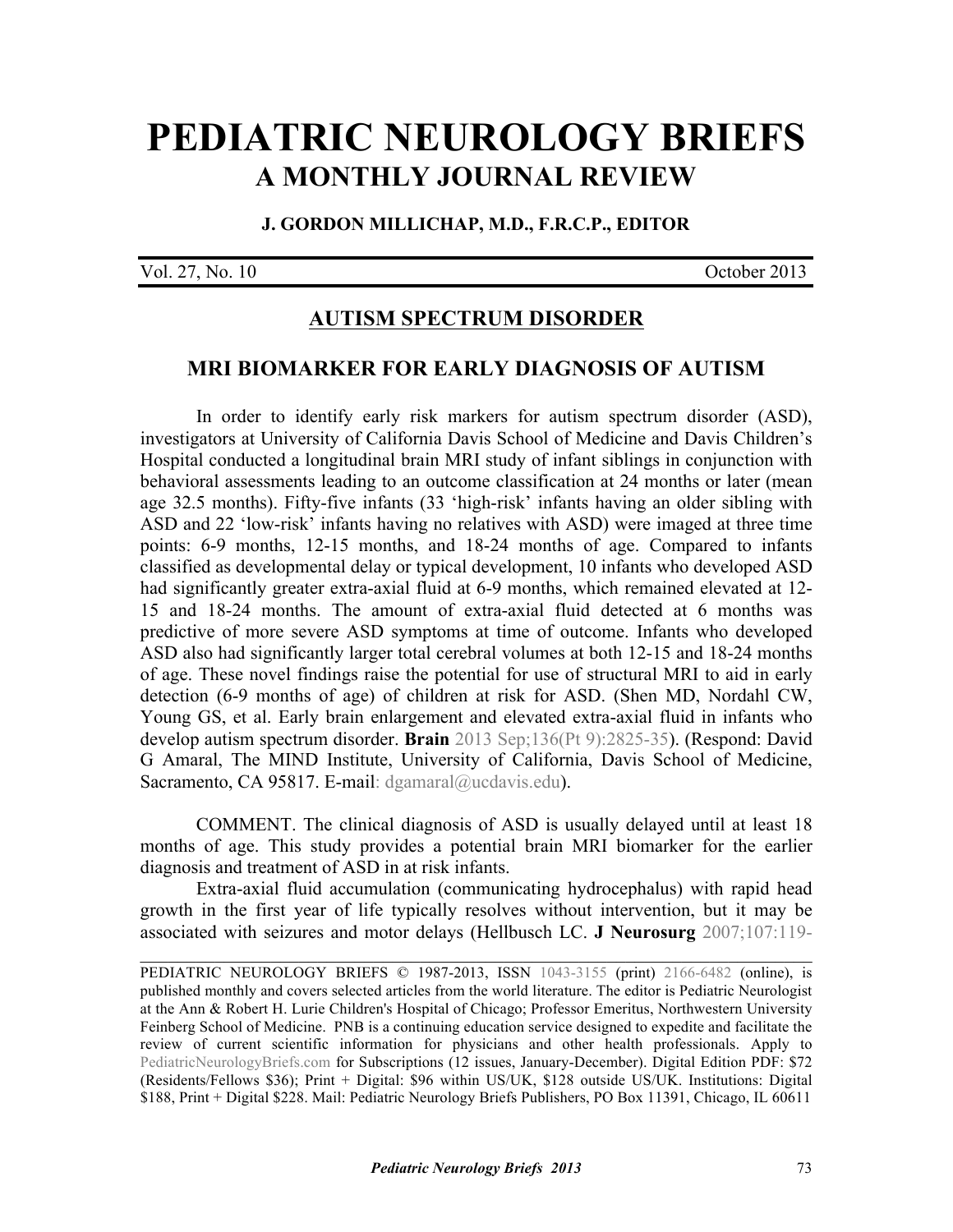# **[PEDIATRIC NEUROLOGY BRIEFS](http://www.pediatricneurologybriefs.com/) A MONTHLY JOURNAL REVIEW**

#### **J. GORDON MILLICHAP, M.D., F.R.C.P., EDITOR**

Vol. 27, No. 10 October 2013

## **AUTISM SPECTRUM DISORDER**

## **MRI BIOMARKER FOR EARLY DIAGNOSIS OF AUTISM**

In order to identify early risk markers for autism spectrum disorder (ASD), investigators at University of California Davis School of Medicine and Davis Children's Hospital conducted a longitudinal brain MRI study of infant siblings in conjunction with behavioral assessments leading to an outcome classification at 24 months or later (mean age 32.5 months). Fifty-five infants (33 'high-risk' infants having an older sibling with ASD and 22 'low-risk' infants having no relatives with ASD) were imaged at three time points: 6-9 months, 12-15 months, and 18-24 months of age. Compared to infants classified as developmental delay or typical development, 10 infants who developed ASD had significantly greater extra-axial fluid at 6-9 months, which remained elevated at 12- 15 and 18-24 months. The amount of extra-axial fluid detected at 6 months was predictive of more severe ASD symptoms at time of outcome. Infants who developed ASD also had significantly larger total cerebral volumes at both 12-15 and 18-24 months of age. These novel findings raise the potential for use of structural MRI to aid in early detection (6-9 months of age) of children at risk for ASD. (Shen MD, Nordahl CW, [Young GS, et al. Early brain enlargement and elevated extra-axial fluid in infants who](http://dx.doi.org/10.1093/brain/awt166) develop autism spectrum disorder. **Brain** 2013 Sep;136(Pt 9):2825-35). (Respond: David G Amaral, The MIND Institute, University of California, Davis School of Medicine, Sacramento, CA 95817. E-mail: dgamaral@ucdavis.edu).

 COMMENT. The clinical diagnosis of ASD is usually delayed until at least 18 months of age. This study provides a potential brain MRI biomarker for the earlier diagnosis and treatment of ASD in at risk infants.

 Extra-axial fluid accumulation (communicating hydrocephalus) with rapid head growth in the first year of life typically resolves without intervention, but it may be associated with seizures and motor delays [\(Hellbusch LC.](http://dx.doi.org/10.3171/PED-07/08/119) **J Neurosurg** 2007;107:119-

 $\_$ 

PEDIATRIC NEUROLOGY BRIEFS © 1987-2013, ISSN [1043-3155](http://www.worldcat.org/oclc/19417722) (print) [2166-6482](http://www.worldcat.org/oclc/781441925) (online), is published monthly and covers selected articles from the world literature. The editor is Pediatric Neurologist at the Ann & Robert H. Lurie Children's Hospital of Chicago; Professor Emeritus, Northwestern University Feinberg School of Medicine. PNB is a continuing education service designed to expedite and facilitate the review of current scientific information for physicians and other health professionals. Apply to [PediatricNeurologyBriefs.com](http://www.pediatricneurologybriefs.com/subscribe.html) for Subscriptions (12 issues, January-December). Digital Edition PDF: \$72 (Residents/Fellows \$36); Print + Digital: \$96 within US/UK, \$128 outside US/UK. Institutions: Digital \$188, Print + Digital \$228. Mail: Pediatric Neurology Briefs Publishers, PO Box 11391, Chicago, IL 60611